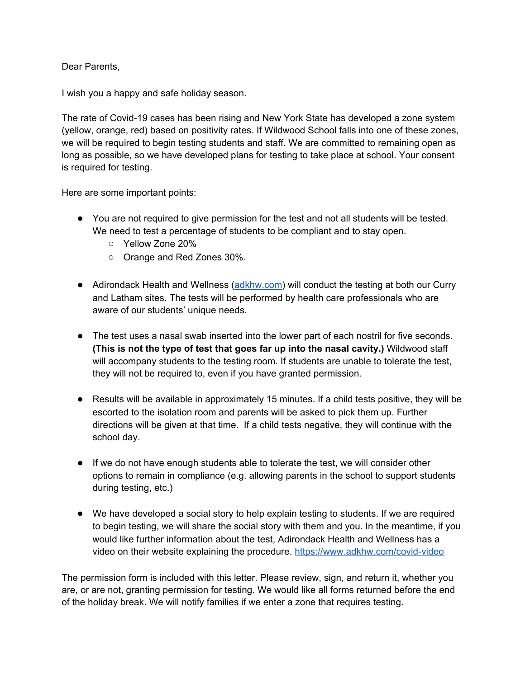Dear Parents,

I wish you a happy and safe holiday season.

The rate of Covid-19 cases has been rising and New York State has developed a zone system (yellow, orange, red) based on positivity rates. If Wildwood School falls into one of these zones, we will be required to begin testing students and staff. We are committed to remaining open as long as possible, so we have developed plans for testing to take place at school. Your consent is required for testing.

Here are some important points:

- You are not required to give permission for the test and not all students will be tested. We need to test a percentage of students to be compliant and to stay open.
	- Yellow Zone 20%
	- Orange and Red Zones 30%.
- Adirondack Health and Wellness ([adkhw.com](http://adkhw.com/)) will conduct the testing at both our Curry and Latham sites. The tests will be performed by health care professionals who are aware of our students' unique needs.
- The test uses a nasal swab inserted into the lower part of each nostril for five seconds. **(This is not the type of test that goes far up into the nasal cavity.)** Wildwood staff will accompany students to the testing room. If students are unable to tolerate the test, they will not be required to, even if you have granted permission.
- Results will be available in approximately 15 minutes. If a child tests positive, they will be escorted to the isolation room and parents will be asked to pick them up. Further directions will be given at that time. If a child tests negative, they will continue with the school day.
- If we do not have enough students able to tolerate the test, we will consider other options to remain in compliance (e.g. allowing parents in the school to support students during testing, etc.)
- We have developed a social story to help explain testing to students. If we are required to begin testing, we will share the social story with them and you. In the meantime, if you would like further information about the test, Adirondack Health and Wellness has a video on their website explaining the procedure. <https://www.adkhw.com/covid-video>

The permission form is included with this letter. Please review, sign, and return it, whether you are, or are not, granting permission for testing. We would like all forms returned before the end of the holiday break. We will notify families if we enter a zone that requires testing.